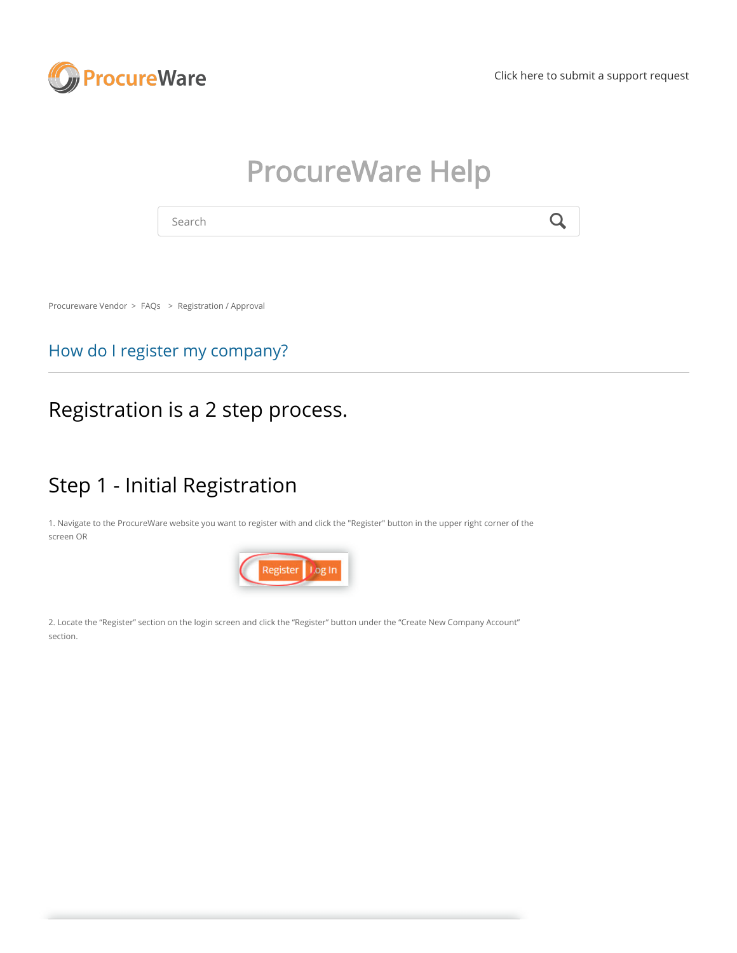

[Click here to submit a support request](https://procureware-vendor.zendesk.com/hc/en-us/requests/new?ticket_form_id=360000206559)

# ProcureWare Help

Search  $\mathbf Q$ 

[Procureware Vendor](https://procureware-vendor.zendesk.com/hc/en-us) > [FAQs](https://procureware-vendor.zendesk.com/hc/en-us/categories/202509027-FAQs) > [Registration / Approval](https://procureware-vendor.zendesk.com/hc/en-us/sections/360000050784-Registration-Approval)

#### How do I register my company?

#### Registration is a 2 step process.

## Step 1 - Initial Registration

1. Navigate to the ProcureWare website you want to register with and click the "Register" button in the upper right corner of the screen OR



2. Locate the "Register" section on the login screen and click the "Register" button under the "Create New Company Account" section.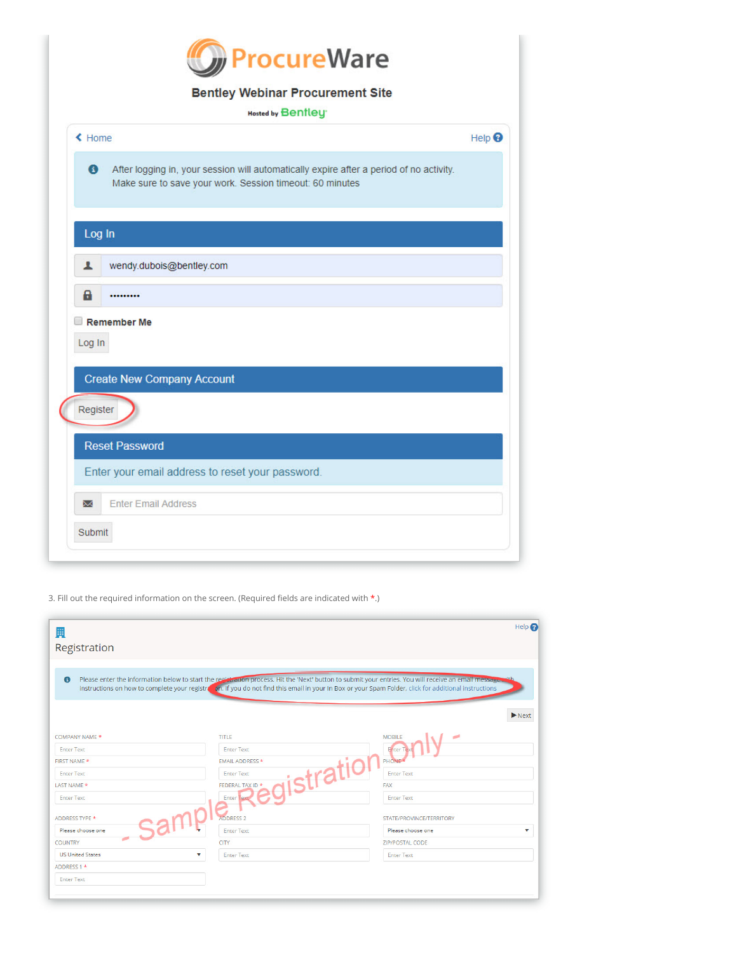

#### **Bentley Webinar Procurement Site**

| <b>Hosted by Bentley</b> |  |  |  |  |
|--------------------------|--|--|--|--|

| ← Home             |                                                                                                                                                     |               |
|--------------------|-----------------------------------------------------------------------------------------------------------------------------------------------------|---------------|
|                    |                                                                                                                                                     | Help $\Theta$ |
| $\bullet$          | After logging in, your session will automatically expire after a period of no activity.<br>Make sure to save your work. Session timeout: 60 minutes |               |
| Log In             |                                                                                                                                                     |               |
| ı                  | wendy.dubois@bentley.com                                                                                                                            |               |
|                    |                                                                                                                                                     |               |
| a                  | <br><b>Remember Me</b>                                                                                                                              |               |
|                    | <b>Create New Company Account</b>                                                                                                                   |               |
|                    |                                                                                                                                                     |               |
| Log In<br>Register | <b>Reset Password</b>                                                                                                                               |               |
|                    | Enter your email address to reset your password.                                                                                                    |               |
| Σ                  | <b>Enter Email Address</b>                                                                                                                          |               |

3. Fill out the required information on the screen. (Required fields are indicated with  $*$ .)

| 圛<br>Registration       |                                                                                                                                                                                                                                                                                                                   | Help                       |
|-------------------------|-------------------------------------------------------------------------------------------------------------------------------------------------------------------------------------------------------------------------------------------------------------------------------------------------------------------|----------------------------|
| $\bullet$               | Please enter the information below to start the registration process. Hit the 'Next' button to submit your entries. You will receive an email message .<br>instructions on how to complete your registron on. If you do not find this email in your In Box or your Spam Folder, click for additional instructions |                            |
|                         |                                                                                                                                                                                                                                                                                                                   | $\blacktriangleright$ Next |
| COMPANY NAME *          | <b>TITLE</b>                                                                                                                                                                                                                                                                                                      | <b>MOBILE</b>              |
| <b>Enter Text</b>       | <b>Enter Text</b>                                                                                                                                                                                                                                                                                                 | Enter <sup>1</sup>         |
| FIRST NAME *            | <b>EMAIL ADDRESS *</b>                                                                                                                                                                                                                                                                                            | <b>PHONE</b>               |
| <b>Enter Text</b>       | strath<br><b>Enter Text</b>                                                                                                                                                                                                                                                                                       | <b>Enter Text</b>          |
| LAST NAME *             | FEDERAL TAX ID *                                                                                                                                                                                                                                                                                                  | <b>FAX</b>                 |
| <b>Enter Text</b>       | Enter <sub>Te</sub>                                                                                                                                                                                                                                                                                               | <b>Enter Text</b>          |
| ADDRESS TYPE *          | <b>ADDRESS 2</b>                                                                                                                                                                                                                                                                                                  | STATE/PROVINCE/TERRITORY   |
| Please choose one       | <b>Enter Text</b>                                                                                                                                                                                                                                                                                                 | Please choose one          |
| <b>COUNTRY</b>          | <b>CITY</b>                                                                                                                                                                                                                                                                                                       | <b>ZIP/POSTAL CODE</b>     |
| <b>US United States</b> | <b>Enter Text</b>                                                                                                                                                                                                                                                                                                 | <b>Enter Text</b>          |
| ADDRESS 1 *             |                                                                                                                                                                                                                                                                                                                   |                            |
| <b>Enter Text</b>       |                                                                                                                                                                                                                                                                                                                   |                            |
|                         |                                                                                                                                                                                                                                                                                                                   |                            |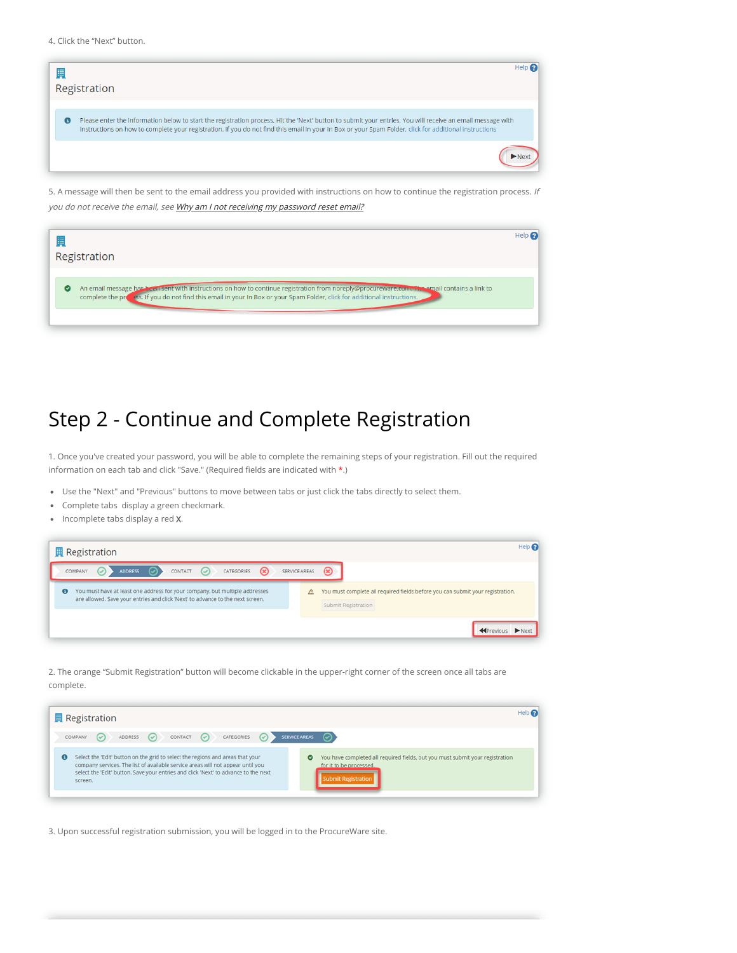4. Click the "Next" button.



5. A message will then be sent to the email address you provided with instructions on how to continue the registration process. If you do not receive the email, see [Why am I not receiving my password reset email?](https://procureware-vendor.zendesk.com/hc/en-us/articles/360000143650-Why-am-I-not-receiving-my-password-reset-email-)

| F<br>Registration                                                                                                                                                                                                                                                                    |  |
|--------------------------------------------------------------------------------------------------------------------------------------------------------------------------------------------------------------------------------------------------------------------------------------|--|
| An email message has been sent with instructions on how to continue registration from noreply@procureware.com. The email contains a link to<br>$\bullet$<br>complete the press. If you do not find this email in your In Box or your Spam Folder, click for additional instructions. |  |

## Step 2 - Continue and Complete Registration

1. Once you've created your password, you will be able to complete the remaining steps of your registration. Fill out the required information on each tab and click "Save." (Required fields are indicated with  $*$ .)

- Use the "Next" and "Previous" buttons to move between tabs or just click the tabs directly to select them.
- Complete tabs display a green checkmark.
- Incomplete tabs display a red X.

|           |         | <b>異 Registration</b> |                |         |                                                                                                                                                               |             |               | Help <sup><sup>6</sup></sup>                                                                          |
|-----------|---------|-----------------------|----------------|---------|---------------------------------------------------------------------------------------------------------------------------------------------------------------|-------------|---------------|-------------------------------------------------------------------------------------------------------|
|           | COMPANY | $\bullet$             | <b>ADDRESS</b> | CONTACT | CATEGORIES                                                                                                                                                    | $\circledR$ | SERVICE AREAS | $\circledast$                                                                                         |
| $\bullet$ |         |                       |                |         | You must have at least one address for your company, but multiple addresses<br>are allowed. Save your entries and click 'Next' to advance to the next screen. |             | Δ             | You must complete all required fields before you can submit your registration.<br>Submit Registration |
|           |         |                       |                |         |                                                                                                                                                               |             |               | Next                                                                                                  |

2. The orange "Submit Registration" button will become clickable in the upper-right corner of the screen once all tabs are complete.

|           | <b>異 Registration</b> |             |           |                                                                                                                                                                                                                                                          |                      |   |                                                                                                                                 | Help <sub>c</sub> |
|-----------|-----------------------|-------------|-----------|----------------------------------------------------------------------------------------------------------------------------------------------------------------------------------------------------------------------------------------------------------|----------------------|---|---------------------------------------------------------------------------------------------------------------------------------|-------------------|
| COMPANY   | $(\checkmark)$        | ADDRESS (V) | CONTACT ( | CATEGORIES (                                                                                                                                                                                                                                             | <b>SERVICE AREAS</b> |   |                                                                                                                                 |                   |
| $\bullet$ | screen.               |             |           | Select the 'Edit' button on the grid to select the regions and areas that your<br>company services. The list of available service areas will not appear until you<br>select the 'Edit' button. Save your entries and click 'Next' to advance to the next |                      | ◓ | You have completed all required fields, but you must submit your registration<br>for it to be processed.<br>Submit Registration |                   |

3. Upon successful registration submission, you will be logged in to the ProcureWare site.